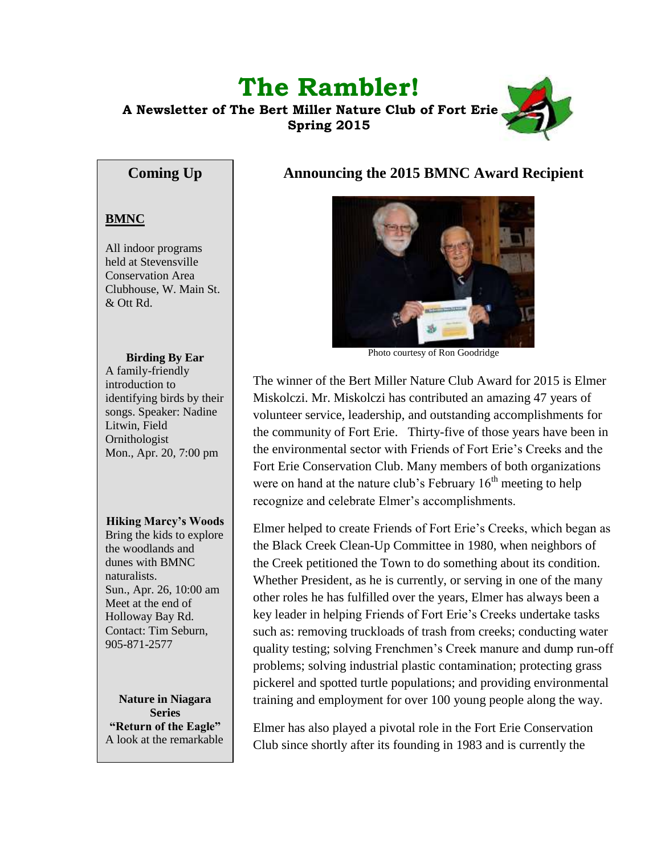# **The Rambler!**

 **A Newsletter of The Bert Miller Nature Club of Fort Erie Spring 2015**



# **Coming Up**

# **BMNC**

All indoor programs held at Stevensville Conservation Area Clubhouse, W. Main St. & Ott Rd.

#### **Birding By Ear**

A family-friendly introduction to identifying birds by their songs. Speaker: Nadine Litwin, Field Ornithologist Mon., Apr. 20, 7:00 pm

#### **Hiking Marcy's Woods**

Bring the kids to explore the woodlands and dunes with BMNC naturalists. Sun., Apr. 26, 10:00 am Meet at the end of Holloway Bay Rd. Contact: Tim Seburn, 905-871-2577

**Nature in Niagara Series "Return of the Eagle"** A look at the remarkable

# **Announcing the 2015 BMNC Award Recipient**



Photo courtesy of Ron Goodridge

The winner of the Bert Miller Nature Club Award for 2015 is Elmer Miskolczi. Mr. Miskolczi has contributed an amazing 47 years of volunteer service, leadership, and outstanding accomplishments for the community of Fort Erie. Thirty-five of those years have been in the environmental sector with Friends of Fort Erie's Creeks and the Fort Erie Conservation Club. Many members of both organizations were on hand at the nature club's February  $16<sup>th</sup>$  meeting to help recognize and celebrate Elmer's accomplishments.

Elmer helped to create Friends of Fort Erie's Creeks, which began as the Black Creek Clean-Up Committee in 1980, when neighbors of the Creek petitioned the Town to do something about its condition. Whether President, as he is currently, or serving in one of the many other roles he has fulfilled over the years, Elmer has always been a key leader in helping Friends of Fort Erie's Creeks undertake tasks such as: removing truckloads of trash from creeks; conducting water quality testing; solving Frenchmen's Creek manure and dump run-off problems; solving industrial plastic contamination; protecting grass pickerel and spotted turtle populations; and providing environmental training and employment for over 100 young people along the way.

Elmer has also played a pivotal role in the Fort Erie Conservation Club since shortly after its founding in 1983 and is currently the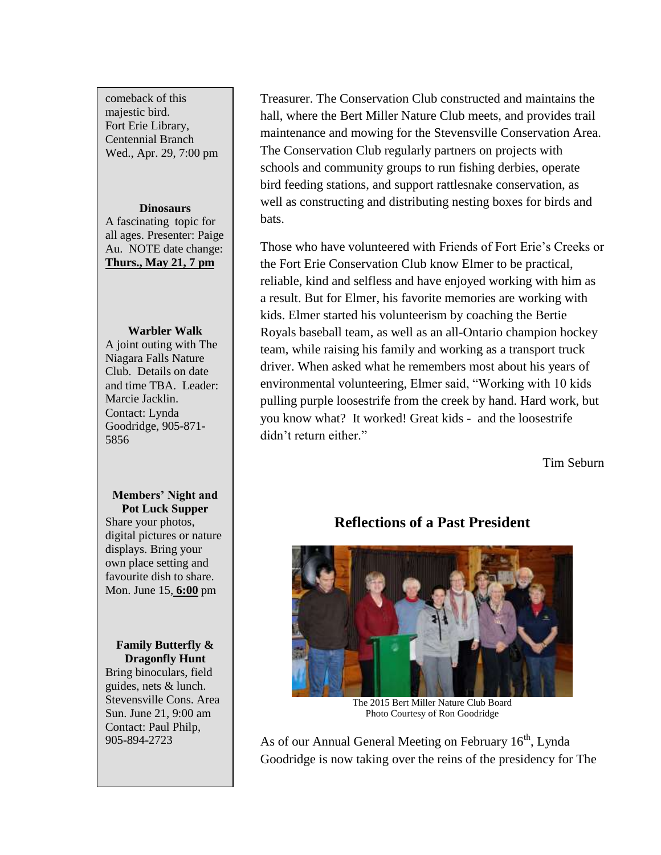comeback of this majestic bird. Fort Erie Library, Centennial Branch Wed., Apr. 29, 7:00 pm

# **Dinosaurs** A fascinating topic for all ages. Presenter: Paige

Au. NOTE date change: **Thurs., May 21, 7 pm**

#### **Warbler Walk**

A joint outing with The Niagara Falls Nature Club. Details on date and time TBA. Leader: Marcie Jacklin. Contact: Lynda Goodridge, 905-871- 5856

#### **Members' Night and Pot Luck Supper**

Share your photos, digital pictures or nature displays. Bring your own place setting and favourite dish to share. Mon. June 15, **6:00** pm

# **Family Butterfly & Dragonfly Hunt**

Bring binoculars, field guides, nets & lunch. Stevensville Cons. Area Sun. June 21, 9:00 am Contact: Paul Philp, 905-894-2723

Treasurer. The Conservation Club constructed and maintains the hall, where the Bert Miller Nature Club meets, and provides trail maintenance and mowing for the Stevensville Conservation Area. The Conservation Club regularly partners on projects with schools and community groups to run fishing derbies, operate bird feeding stations, and support rattlesnake conservation, as well as constructing and distributing nesting boxes for birds and bats.

Those who have volunteered with Friends of Fort Erie's Creeks or the Fort Erie Conservation Club know Elmer to be practical, reliable, kind and selfless and have enjoyed working with him as a result. But for Elmer, his favorite memories are working with kids. Elmer started his volunteerism by coaching the Bertie Royals baseball team, as well as an all-Ontario champion hockey team, while raising his family and working as a transport truck driver. When asked what he remembers most about his years of environmental volunteering, Elmer said, "Working with 10 kids pulling purple loosestrife from the creek by hand. Hard work, but you know what? It worked! Great kids - and the loosestrife didn't return either."

Tim Seburn

The 2015 Bert Miller Nature Club Board Photo Courtesy of Ron Goodridge

As of our Annual General Meeting on February  $16<sup>th</sup>$ , Lynda Goodridge is now taking over the reins of the presidency for The

# **Reflections of a Past President**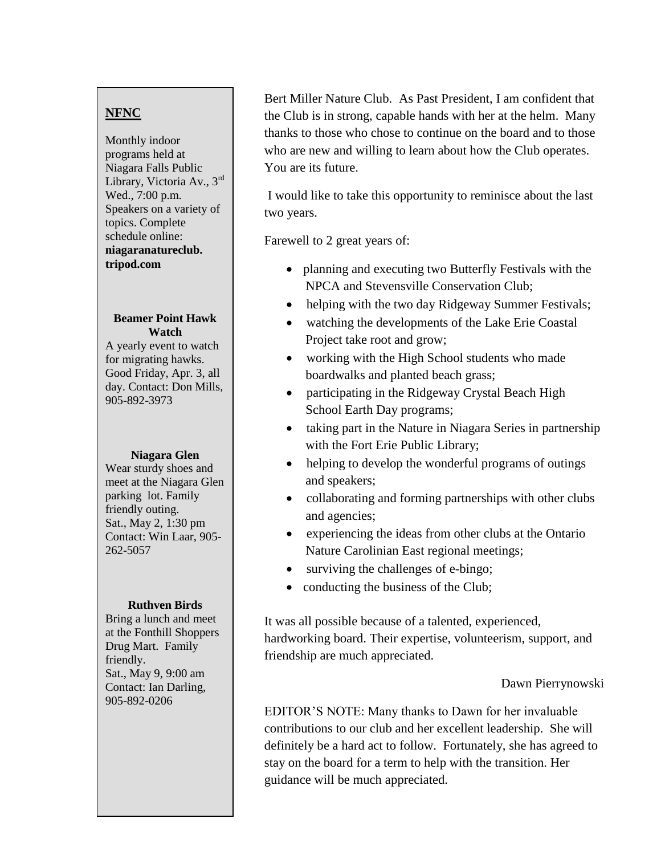# **NFNC**

Monthly indoor programs held at Niagara Falls Public Library, Victoria Av., 3rd Wed., 7:00 p.m. Speakers on a variety of topics. Complete schedule online: **niagaranatureclub. tripod.com**

#### **Beamer Point Hawk Watch**

A yearly event to watch for migrating hawks. Good Friday, Apr. 3, all day. Contact: Don Mills, 905-892-3973

#### **Niagara Glen**

Wear sturdy shoes and meet at the Niagara Glen parking lot. Family friendly outing. Sat., May 2, 1:30 pm Contact: Win Laar, 905- 262-5057

#### **Ruthven Birds**

Bring a lunch and meet at the Fonthill Shoppers Drug Mart. Family friendly. Sat., May 9, 9:00 am Contact: Ian Darling, 905-892-0206

Bert Miller Nature Club. As Past President, I am confident that the Club is in strong, capable hands with her at the helm. Many thanks to those who chose to continue on the board and to those who are new and willing to learn about how the Club operates. You are its future.

I would like to take this opportunity to reminisce about the last two years.

Farewell to 2 great years of:

- planning and executing two Butterfly Festivals with the NPCA and Stevensville Conservation Club;
- helping with the two day Ridgeway Summer Festivals;
- watching the developments of the Lake Erie Coastal Project take root and grow;
- working with the High School students who made boardwalks and planted beach grass;
- participating in the Ridgeway Crystal Beach High School Earth Day programs;
- taking part in the Nature in Niagara Series in partnership with the Fort Erie Public Library;
- helping to develop the wonderful programs of outings and speakers;
- collaborating and forming partnerships with other clubs and agencies;
- experiencing the ideas from other clubs at the Ontario Nature Carolinian East regional meetings;
- surviving the challenges of e-bingo;
- conducting the business of the Club;

It was all possible because of a talented, experienced, hardworking board. Their expertise, volunteerism, support, and friendship are much appreciated.

#### Dawn Pierrynowski

EDITOR'S NOTE: Many thanks to Dawn for her invaluable contributions to our club and her excellent leadership. She will definitely be a hard act to follow. Fortunately, she has agreed to stay on the board for a term to help with the transition. Her guidance will be much appreciated.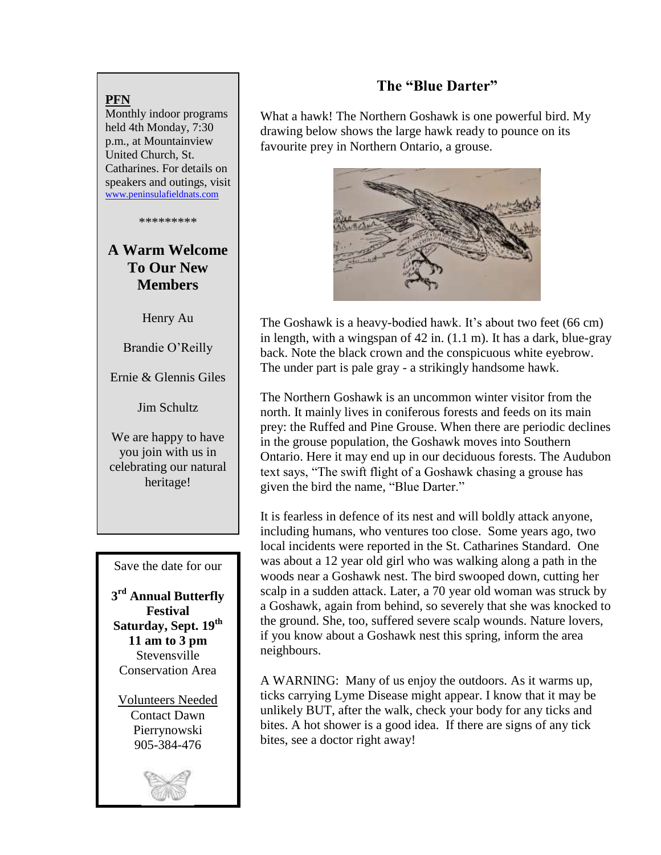### **PFN**

Monthly indoor programs held 4th Monday, 7:30 p.m., at Mountainview United Church, St. Catharines. For details on speakers and outings, visit [www.peninsulafieldnats.com](http://www.peninsulafieldnats.com/)

\*\*\*\*\*\*\*\*\*

# **A Warm Welcome To Our New Members**

Henry Au

Brandie O'Reilly

Ernie & Glennis Giles

Jim Schultz

We are happy to have you join with us in celebrating our natural heritage!

Save the date for our

**3 rd Annual Butterfly Festival Saturday, Sept. 19th 11 am to 3 pm Stevensville** Conservation Area

Volunteers Needed Contact Dawn Pierrynowski 905-384-476



# **The "Blue Darter"**

What a hawk! The Northern Goshawk is one powerful bird. My drawing below shows the large hawk ready to pounce on its favourite prey in Northern Ontario, a grouse.



The Goshawk is a heavy-bodied hawk. It's about two feet (66 cm) in length, with a wingspan of 42 in. (1.1 m). It has a dark, blue-gray back. Note the black crown and the conspicuous white eyebrow. The under part is pale gray - a strikingly handsome hawk.

The Northern Goshawk is an uncommon winter visitor from the north. It mainly lives in coniferous forests and feeds on its main prey: the Ruffed and Pine Grouse. When there are periodic declines in the grouse population, the Goshawk moves into Southern Ontario. Here it may end up in our deciduous forests. The Audubon text says, "The swift flight of a Goshawk chasing a grouse has given the bird the name, "Blue Darter."

It is fearless in defence of its nest and will boldly attack anyone, including humans, who ventures too close. Some years ago, two local incidents were reported in the St. Catharines Standard. One was about a 12 year old girl who was walking along a path in the woods near a Goshawk nest. The bird swooped down, cutting her scalp in a sudden attack. Later, a 70 year old woman was struck by a Goshawk, again from behind, so severely that she was knocked to the ground. She, too, suffered severe scalp wounds. Nature lovers, if you know about a Goshawk nest this spring, inform the area neighbours.

A WARNING: Many of us enjoy the outdoors. As it warms up, ticks carrying Lyme Disease might appear. I know that it may be unlikely BUT, after the walk, check your body for any ticks and bites. A hot shower is a good idea. If there are signs of any tick bites, see a doctor right away!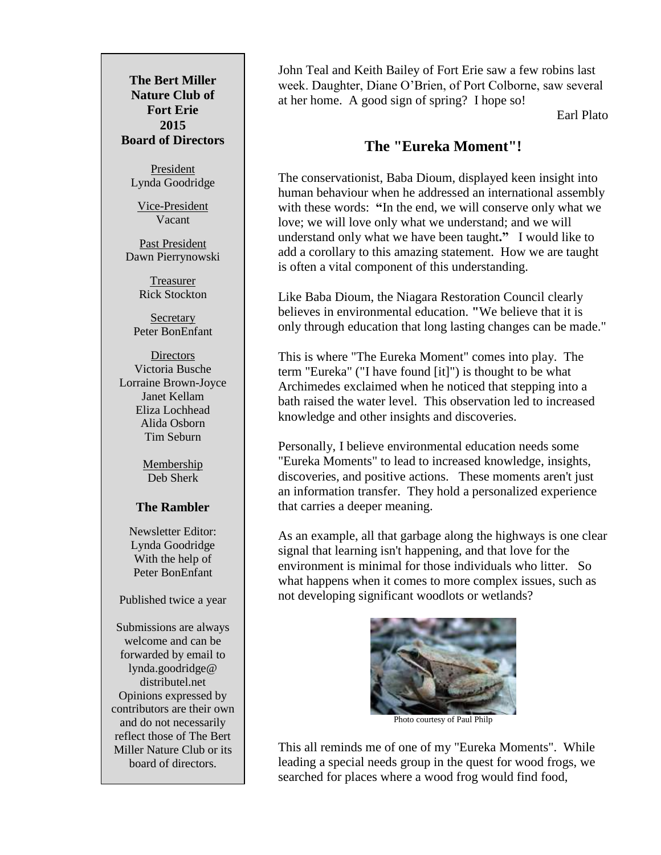**The Bert Miller Nature Club of Fort Erie 2015 Board of Directors**

> President Lynda Goodridge

Vice-President Vacant

Past President Dawn Pierrynowski

> Treasurer Rick Stockton

Secretary Peter BonEnfant

**Directors** Victoria Busche Lorraine Brown-Joyce Janet Kellam Eliza Lochhead Alida Osborn Tim Seburn

> Membership Deb Sherk

### **The Rambler**

Newsletter Editor: Lynda Goodridge With the help of Peter BonEnfant

Published twice a year

Submissions are always welcome and can be forwarded by email to lynda.goodridge@ distributel.net Opinions expressed by contributors are their own and do not necessarily reflect those of The Bert Miller Nature Club or its board of directors.

John Teal and Keith Bailey of Fort Erie saw a few robins last week. Daughter, Diane O'Brien, of Port Colborne, saw several at her home. A good sign of spring? I hope so!

Earl Plato

# **The "Eureka Moment"!**

The conservationist, Baba Dioum, displayed keen insight into human behaviour when he addressed an international assembly with these words: "In the end, we will conserve only what we love; we will love only what we understand; and we will understand only what we have been taught**."** I would like to add a corollary to this amazing statement. How we are taught is often a vital component of this understanding.

Like Baba Dioum, the Niagara Restoration Council clearly believes in environmental education. **"**We believe that it is only through education that long lasting changes can be made."

This is where "The Eureka Moment" comes into play. The term "Eureka" ("I have found [it]") is thought to be what Archimedes exclaimed when he noticed that stepping into a bath raised the water level. This observation led to increased knowledge and other insights and discoveries.

Personally, I believe environmental education needs some "Eureka Moments" to lead to increased knowledge, insights, discoveries, and positive actions. These moments aren't just an information transfer. They hold a personalized experience that carries a deeper meaning.

As an example, all that garbage along the highways is one clear signal that learning isn't happening, and that love for the environment is minimal for those individuals who litter. So what happens when it comes to more complex issues, such as not developing significant woodlots or wetlands?



Photo courtesy of Paul Philp

This all reminds me of one of my "Eureka Moments". While leading a special needs group in the quest for wood frogs, we searched for places where a wood frog would find food,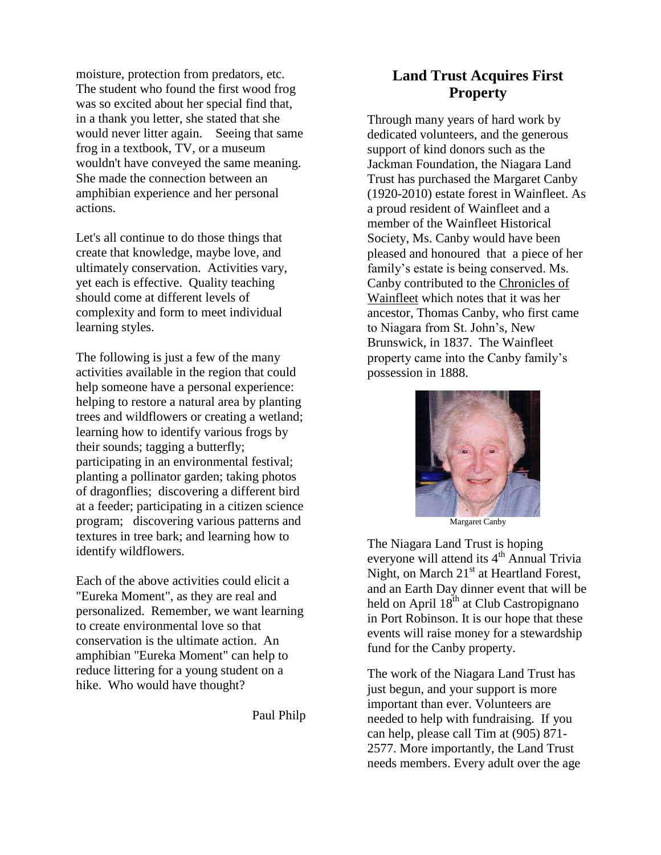The student who found the first wood frog moisture, protection from predators, etc. was so excited about her special find that, in a thank you letter, she stated that she would never litter again. Seeing that same frog in a textbook, TV, or a museum wouldn't have conveyed the same meaning. She made the connection between an amphibian experience and her personal actions.

Let's all continue to do those things that create that knowledge, maybe love, and ultimately conservation. Activities vary, yet each is effective. Quality teaching should come at different levels of complexity and form to meet individual learning styles.

The following is just a few of the many activities available in the region that could help someone have a personal experience: helping to restore a natural area by planting trees and wildflowers or creating a wetland; learning how to identify various frogs by their sounds; tagging a butterfly; participating in an environmental festival; planting a pollinator garden; taking photos of dragonflies; discovering a different bird at a feeder; participating in a citizen science program; discovering various patterns and textures in tree bark; and learning how to identify wildflowers.

Each of the above activities could elicit a "Eureka Moment", as they are real and personalized. Remember, we want learning to create environmental love so that conservation is the ultimate action. An amphibian "Eureka Moment" can help to reduce littering for a young student on a hike. Who would have thought?

Paul Philp

# **Land Trust Acquires First Property**

Through many years of hard work by dedicated volunteers, and the generous support of kind donors such as the Jackman Foundation, the Niagara Land Trust has purchased the Margaret Canby (1920-2010) estate forest in Wainfleet. As a proud resident of Wainfleet and a member of the Wainfleet Historical Society, Ms. Canby would have been pleased and honoured that a piece of her family's estate is being conserved. Ms. Canby contributed to the Chronicles of Wainfleet which notes that it was her ancestor, Thomas Canby, who first came to Niagara from St. John's, New Brunswick, in 1837. The Wainfleet property came into the Canby family's possession in 1888.



Margaret Canby

The Niagara Land Trust is hoping everyone will attend its  $4<sup>th</sup>$  Annual Trivia Night, on March  $21<sup>st</sup>$  at Heartland Forest, and an Earth Day dinner event that will be held on April 18<sup>th</sup> at Club Castropignano in Port Robinson. It is our hope that these events will raise money for a stewardship fund for the Canby property.

The work of the Niagara Land Trust has just begun, and your support is more important than ever. Volunteers are needed to help with fundraising. If you can help, please call Tim at (905) 871- 2577. More importantly, the Land Trust needs members. Every adult over the age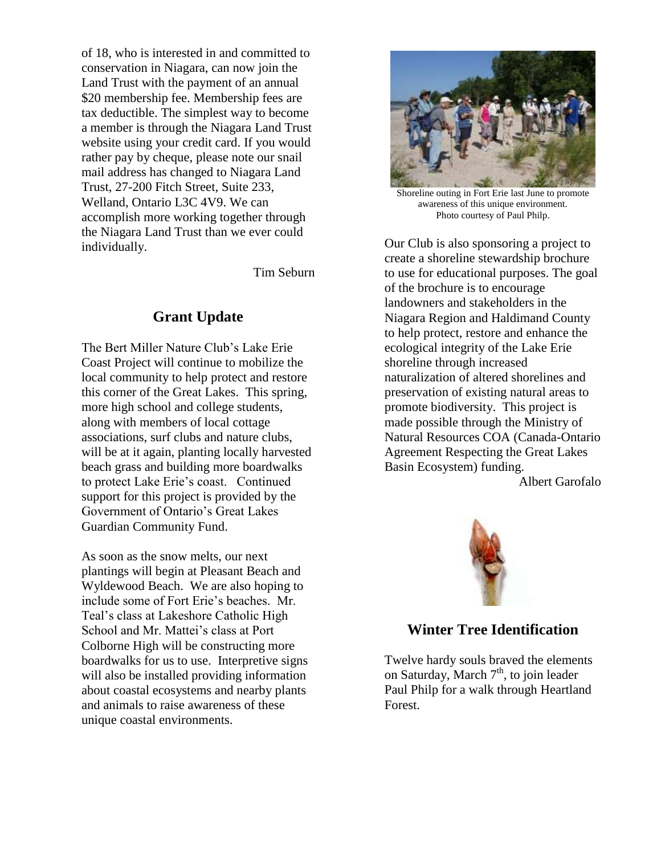of 18, who is interested in and committed to conservation in Niagara, can now join the Land Trust with the payment of an annual \$20 membership fee. Membership fees are tax deductible. The simplest way to become a member is through the Niagara Land Trust website using your credit card. If you would rather pay by cheque, please note our snail mail address has changed to Niagara Land Trust, 27-200 Fitch Street, Suite 233, Welland, Ontario L3C 4V9. We can accomplish more working together through the Niagara Land Trust than we ever could individually.

Tim Seburn

# **Grant Update**

The Bert Miller Nature Club's Lake Erie Coast Project will continue to mobilize the local community to help protect and restore this corner of the Great Lakes. This spring, more high school and college students, along with members of local cottage associations, surf clubs and nature clubs, will be at it again, planting locally harvested beach grass and building more boardwalks to protect Lake Erie's coast. Continued support for this project is provided by the Government of Ontario's Great Lakes Guardian Community Fund.

As soon as the snow melts, our next plantings will begin at Pleasant Beach and Wyldewood Beach. We are also hoping to include some of Fort Erie's beaches. Mr. Teal's class at Lakeshore Catholic High School and Mr. Mattei's class at Port Colborne High will be constructing more boardwalks for us to use. Interpretive signs will also be installed providing information about coastal ecosystems and nearby plants and animals to raise awareness of these unique coastal environments.



Shoreline outing in Fort Erie last June to promote awareness of this unique environment. Photo courtesy of Paul Philp.

Our Club is also sponsoring a project to create a shoreline stewardship brochure to use for educational purposes. The goal of the brochure is to encourage landowners and stakeholders in the Niagara Region and Haldimand County to help protect, restore and enhance the ecological integrity of the Lake Erie shoreline through increased naturalization of altered shorelines and preservation of existing natural areas to promote biodiversity. This project is made possible through the Ministry of Natural Resources COA (Canada-Ontario Agreement Respecting the Great Lakes Basin Ecosystem) funding.

Albert Garofalo



# **Winter Tree Identification**

Twelve hardy souls braved the elements on Saturday, March  $7<sup>th</sup>$ , to join leader Paul Philp for a walk through Heartland Forest.